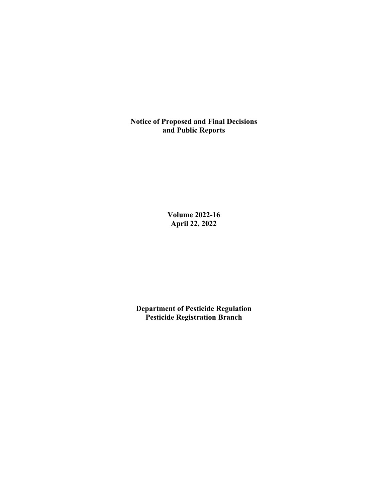**Notice of Proposed and Final Decisions and Public Reports**

> **Volume 2022-16 April 22, 2022**

**Department of Pesticide Regulation Pesticide Registration Branch**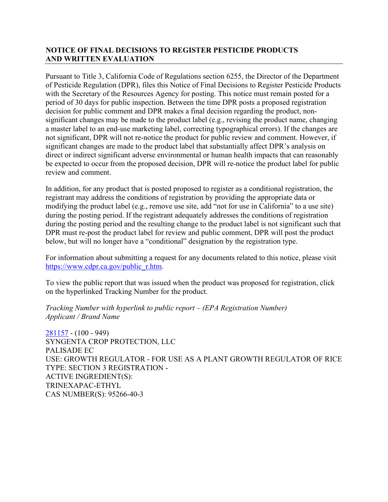# **NOTICE OF FINAL DECISIONS TO REGISTER PESTICIDE PRODUCTS AND WRITTEN EVALUATION**

Pursuant to Title 3, California Code of Regulations section 6255, the Director of the Department of Pesticide Regulation (DPR), files this Notice of Final Decisions to Register Pesticide Products with the Secretary of the Resources Agency for posting. This notice must remain posted for a period of 30 days for public inspection. Between the time DPR posts a proposed registration decision for public comment and DPR makes a final decision regarding the product, nonsignificant changes may be made to the product label (e.g., revising the product name, changing a master label to an end-use marketing label, correcting typographical errors). If the changes are not significant, DPR will not re-notice the product for public review and comment. However, if significant changes are made to the product label that substantially affect DPR's analysis on direct or indirect significant adverse environmental or human health impacts that can reasonably be expected to occur from the proposed decision, DPR will re-notice the product label for public review and comment.

In addition, for any product that is posted proposed to register as a conditional registration, the registrant may address the conditions of registration by providing the appropriate data or modifying the product label (e.g., remove use site, add "not for use in California" to a use site) during the posting period. If the registrant adequately addresses the conditions of registration during the posting period and the resulting change to the product label is not significant such that DPR must re-post the product label for review and public comment, DPR will post the product below, but will no longer have a "conditional" designation by the registration type.

For information about submitting a request for any documents related to this notice, please visit [https://www.cdpr.ca.gov/public\\_r.htm.](https://www.cdpr.ca.gov/public_r.htm)

To view the public report that was issued when the product was proposed for registration, click on the hyperlinked Tracking Number for the product.

*Tracking Number with hyperlink to public report – (EPA Registration Number) Applicant / Brand Name* 

[281157](https://www.cdpr.ca.gov/docs/registration/nod/public_reports/281157.pdf) - (100 - 949) SYNGENTA CROP PROTECTION, LLC PALISADE EC USE: GROWTH REGULATOR - FOR USE AS A PLANT GROWTH REGULATOR OF RICE TYPE: SECTION 3 REGISTRATION - ACTIVE INGREDIENT(S): TRINEXAPAC-ETHYL CAS NUMBER(S): 95266-40-3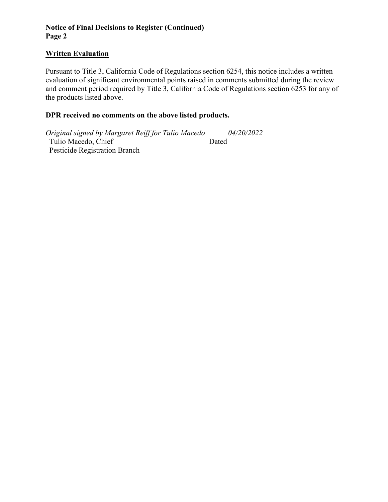# **Notice of Final Decisions to Register (Continued) Page 2**

# **Written Evaluation**

Pursuant to Title 3, California Code of Regulations section 6254, this notice includes a written evaluation of significant environmental points raised in comments submitted during the review and comment period required by Title 3, California Code of Regulations section 6253 for any of the products listed above.

### **DPR received no comments on the above listed products.**

*Original signed by Margaret Reiff for Tulio Macedo 04/20/2022*  Tulio Macedo, Chief Pesticide Registration Branch Dated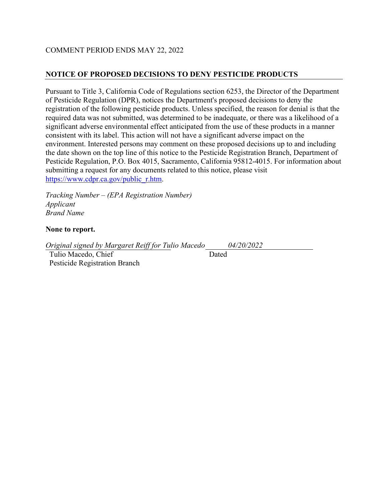## COMMENT PERIOD ENDS MAY 22, 2022

# **NOTICE OF PROPOSED DECISIONS TO DENY PESTICIDE PRODUCTS**

Pursuant to Title 3, California Code of Regulations section 6253, the Director of the Department of Pesticide Regulation (DPR), notices the Department's proposed decisions to deny the registration of the following pesticide products. Unless specified, the reason for denial is that the required data was not submitted, was determined to be inadequate, or there was a likelihood of a significant adverse environmental effect anticipated from the use of these products in a manner consistent with its label. This action will not have a significant adverse impact on the environment. Interested persons may comment on these proposed decisions up to and including the date shown on the top line of this notice to the Pesticide Registration Branch, Department of Pesticide Regulation, P.O. Box 4015, Sacramento, California 95812-4015. For information about submitting a request for any documents related to this notice, please visit [https://www.cdpr.ca.gov/public\\_r.htm.](https://www.cdpr.ca.gov/public_r.htm)

*Tracking Number – (EPA Registration Number) Applicant Brand Name* 

#### **None to report.**

*Original signed by Margaret Reiff for Tulio Macedo 04/20/2022* 

 Tulio Macedo, Chief Pesticide Registration Branch Dated